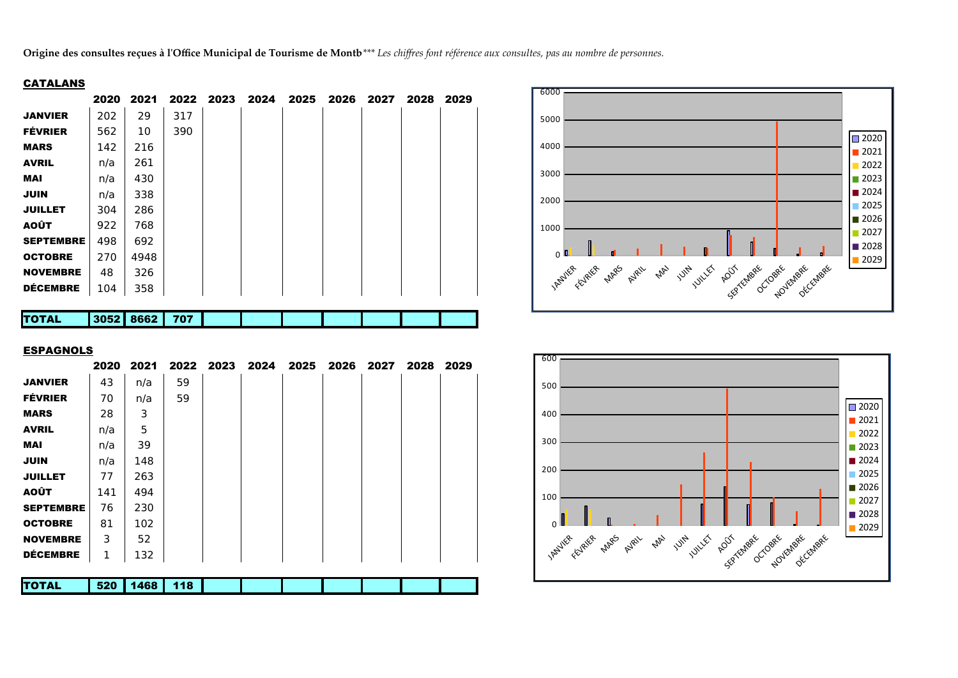Origine des consultes reçues à l'Office Municipal de Tourisme de Montb<sup>\*\*\*</sup> Les chiffres font référence aux consultes, pas au nombre de personnes.

## CATALANS

|                  | 2020 | 2021 | 2022 | 2023 | 2024 | 2025 | 2026 | 2027 | 2028 | 2029 |  |
|------------------|------|------|------|------|------|------|------|------|------|------|--|
| <b>JANVIER</b>   | 202  | 29   | 317  |      |      |      |      |      |      |      |  |
| <b>FÉVRIER</b>   | 562  | 10   | 390  |      |      |      |      |      |      |      |  |
| <b>MARS</b>      | 142  | 216  |      |      |      |      |      |      |      |      |  |
| <b>AVRIL</b>     | n/a  | 261  |      |      |      |      |      |      |      |      |  |
| <b>MAI</b>       | n/a  | 430  |      |      |      |      |      |      |      |      |  |
| <b>JUIN</b>      | n/a  | 338  |      |      |      |      |      |      |      |      |  |
| <b>JUILLET</b>   | 304  | 286  |      |      |      |      |      |      |      |      |  |
| AOÛT             | 922  | 768  |      |      |      |      |      |      |      |      |  |
| <b>SEPTEMBRE</b> | 498  | 692  |      |      |      |      |      |      |      |      |  |
| <b>OCTOBRE</b>   | 270  | 4948 |      |      |      |      |      |      |      |      |  |
| <b>NOVEMBRE</b>  | 48   | 326  |      |      |      |      |      |      |      |      |  |
| <b>DÉCEMBRE</b>  | 104  | 358  |      |      |      |      |      |      |      |      |  |
|                  |      |      |      |      |      |      |      |      |      |      |  |

| TOTAL | 3052 | 8662 | 707<br>v, |  |  |  |  |
|-------|------|------|-----------|--|--|--|--|
|       |      |      |           |  |  |  |  |

## **ESPAGNOLS**

|                  | 2020 | 2021 |     | 2022 2023 | 2024 | 2025 | 2026 | 2027 | 2028 | 2029 |
|------------------|------|------|-----|-----------|------|------|------|------|------|------|
| <b>JANVIER</b>   | 43   | n/a  | 59  |           |      |      |      |      |      |      |
| <b>FÉVRIER</b>   | 70   | n/a  | 59  |           |      |      |      |      |      |      |
| <b>MARS</b>      | 28   | 3    |     |           |      |      |      |      |      |      |
| <b>AVRIL</b>     | n/a  | 5    |     |           |      |      |      |      |      |      |
| <b>MAI</b>       | n/a  | 39   |     |           |      |      |      |      |      |      |
| <b>JUIN</b>      | n/a  | 148  |     |           |      |      |      |      |      |      |
| <b>JUILLET</b>   | 77   | 263  |     |           |      |      |      |      |      |      |
| AOÛT             | 141  | 494  |     |           |      |      |      |      |      |      |
| <b>SEPTEMBRE</b> | 76   | 230  |     |           |      |      |      |      |      |      |
| <b>OCTOBRE</b>   | 81   | 102  |     |           |      |      |      |      |      |      |
| <b>NOVEMBRE</b>  | 3    | 52   |     |           |      |      |      |      |      |      |
| <b>DÉCEMBRE</b>  | 1    | 132  |     |           |      |      |      |      |      |      |
|                  |      |      |     |           |      |      |      |      |      |      |
| <b>TOTAL</b>     | 520  | 1468 | 118 |           |      |      |      |      |      |      |